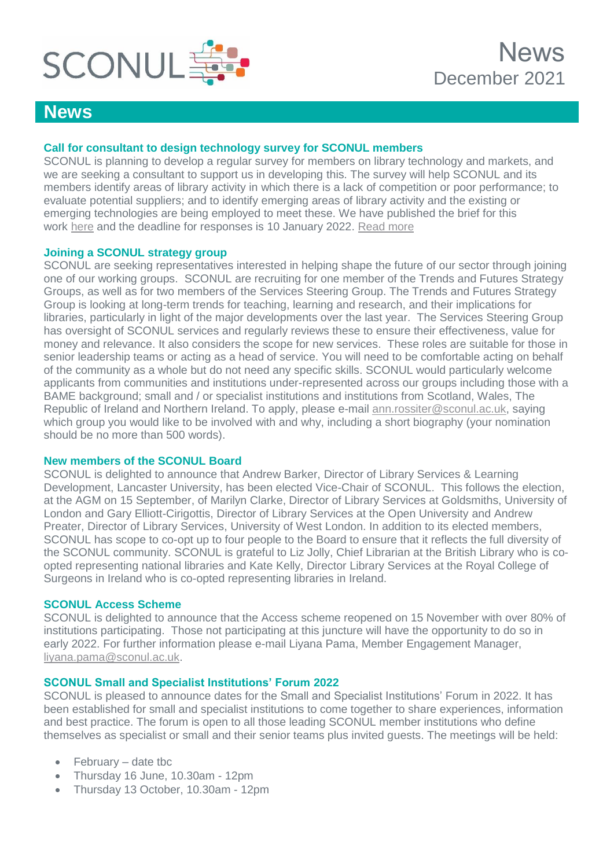

# **News**

# **Call for consultant to design technology survey for SCONUL members**

SCONUL is planning to develop a regular survey for members on library technology and markets, and we are seeking a consultant to support us in developing this. The survey will help SCONUL and its members identify areas of library activity in which there is a lack of competition or poor performance; to evaluate potential suppliers; and to identify emerging areas of library activity and the existing or emerging technologies are being employed to meet these. We have published the brief for this work [here](https://www.sconul.ac.uk/publication/technology-survey-design) and the deadline for responses is 10 January 2022. [Read more](https://www.sconul.ac.uk/news/new-technology-survey-for-sconul-members)

# **Joining a SCONUL strategy group**

SCONUL are seeking representatives interested in helping shape the future of our sector through joining one of our working groups. SCONUL are recruiting for one member of the Trends and Futures Strategy Groups, as well as for two members of the Services Steering Group. The Trends and Futures Strategy Group is looking at long-term trends for teaching, learning and research, and their implications for libraries, particularly in light of the major developments over the last year. The Services Steering Group has oversight of SCONUL services and regularly reviews these to ensure their effectiveness, value for money and relevance. It also considers the scope for new services. These roles are suitable for those in senior leadership teams or acting as a head of service. You will need to be comfortable acting on behalf of the community as a whole but do not need any specific skills. SCONUL would particularly welcome applicants from communities and institutions under-represented across our groups including those with a BAME background; small and / or specialist institutions and institutions from Scotland, Wales, The Republic of Ireland and Northern Ireland. To apply, please e-mail [ann.rossiter@sconul.ac.uk,](mailto:ann.rossiter@sconul.ac.uk) saying which group you would like to be involved with and why, including a short biography (your nomination should be no more than 500 words).

# **New members of the SCONUL Board**

SCONUL is delighted to announce that Andrew Barker, Director of Library Services & Learning Development, Lancaster University, has been elected Vice-Chair of SCONUL. This follows the election, at the AGM on 15 September, of Marilyn Clarke, Director of Library Services at Goldsmiths, University of London and Gary Elliott-Cirigottis, Director of Library Services at the Open University and Andrew Preater, Director of Library Services, University of West London. In addition to its elected members, SCONUL has scope to co-opt up to four people to the Board to ensure that it reflects the full diversity of the SCONUL community. SCONUL is grateful to Liz Jolly, Chief Librarian at the British Library who is coopted representing national libraries and Kate Kelly, Director Library Services at the Royal College of Surgeons in Ireland who is co-opted representing libraries in Ireland.

#### **SCONUL Access Scheme**

SCONUL is delighted to announce that the Access scheme reopened on 15 November with over 80% of institutions participating. Those not participating at this juncture will have the opportunity to do so in early 2022. For further information please e-mail Liyana Pama, Member Engagement Manager, [liyana.pama@sconul.ac.uk.](mailto:liyana.pama@sconul.ac.uk)

# **SCONUL Small and Specialist Institutions' Forum 2022**

SCONUL is pleased to announce dates for the Small and Specialist Institutions' Forum in 2022. It has been established for small and specialist institutions to come together to share experiences, information and best practice. The forum is open to all those leading SCONUL member institutions who define themselves as specialist or small and their senior teams plus invited guests. The meetings will be held:

- February date tbc
- Thursday 16 June, 10.30am 12pm
- Thursday 13 October, 10.30am 12pm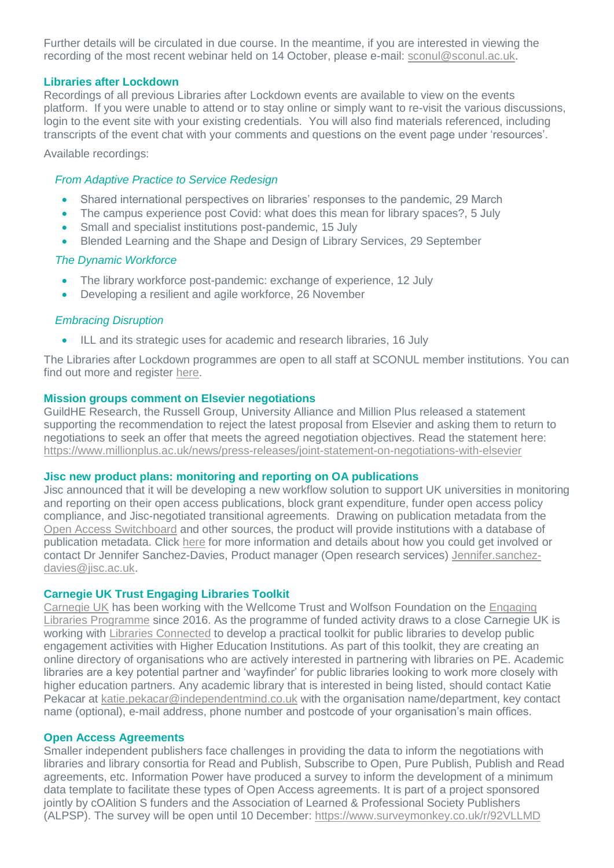Further details will be circulated in due course. In the meantime, if you are interested in viewing the recording of the most recent webinar held on 14 October, please e-mail: [sconul@sconul.ac.uk.](mailto:sconul@sconul.ac.uk)

#### **Libraries after Lockdown**

Recordings of all previous Libraries after Lockdown events are available to view on the events platform. If you were unable to attend or to stay online or simply want to re-visit the various discussions, login to the event site with your existing credentials. You will also find materials referenced, including transcripts of the event chat with your comments and questions on the event page under 'resources'.

Available recordings:

### *From Adaptive Practice to Service Redesign*

- Shared international perspectives on libraries' responses to the pandemic, 29 March
- The campus experience post Covid: what does this mean for library spaces?, 5 July
- Small and specialist institutions post-pandemic, 15 July
- Blended Learning and the Shape and Design of Library Services, 29 September

# *The Dynamic Workforce*

- The library workforce post-pandemic: exchange of experience, 12 July
- Developing a resilient and agile workforce, 26 November

# *Embracing Disruption*

ILL and its strategic uses for academic and research libraries, 16 July

The Libraries after Lockdown programmes are open to all staff at SCONUL member institutions. You can find out more and register [here.](https://www.sconul.ac.uk/page/libraries-after-lockdown-a-virtual-collaboration)

#### **Mission groups comment on Elsevier negotiations**

GuildHE Research, the Russell Group, University Alliance and Million Plus released a statement supporting the recommendation to reject the latest proposal from Elsevier and asking them to return to negotiations to seek an offer that meets the agreed negotiation objectives. Read the statement here: [https://www.millionplus.ac.uk/news/press-releases/joint-statement-on-negotiations-with-elsevier](https://protect-eu.mimecast.com/s/rPupC1rZVcOPMiL6Saa?domain=millionplus.ac.uk)

#### **Jisc new product plans: monitoring and reporting on OA publications**

Jisc announced that it will be developing a new workflow solution to support UK universities in monitoring and reporting on their open access publications, block grant expenditure, funder open access policy compliance, and Jisc-negotiated transitional agreements. Drawing on publication metadata from the [Open Access Switchboard](https://protect-eu.mimecast.com/s/jfebCJqpEtx5WuVTqfZ?domain=oaswitchboard.org) and other sources, the product will provide institutions with a database of publication metadata. Click [here](https://www.jisc.ac.uk/rd/projects/managing-open-access-publication-workflows-and-compliance) for more information and details about how you could get involved or contact Dr Jennifer Sanchez-Davies, Product manager (Open research services) [Jennifer.sanchez](mailto:Jennifer.sanchez-davies@jisc.ac.uk)[davies@jisc.ac.uk.](mailto:Jennifer.sanchez-davies@jisc.ac.uk)

#### **Carnegie UK Trust Engaging Libraries Toolkit**

[Carnegie UK](https://protect-eu.mimecast.com/s/PTGpC328YIVO9fg8U4s?domain=eur03.safelinks.protection.outlook.com) has been working with the Wellcome Trust and Wolfson Foundation on the [Engaging](https://protect-eu.mimecast.com/s/zAqdC4RZWsGq9CxhZ-7?domain=eur03.safelinks.protection.outlook.com)  [Libraries Programme](https://protect-eu.mimecast.com/s/zAqdC4RZWsGq9CxhZ-7?domain=eur03.safelinks.protection.outlook.com) since 2016. As the programme of funded activity draws to a close Carnegie UK is working with [Libraries Connected](https://protect-eu.mimecast.com/s/sQ8rC59ZAUO2pCyWdMq?domain=eur03.safelinks.protection.outlook.com) to develop a practical toolkit for public libraries to develop public engagement activities with Higher Education Institutions. As part of this toolkit, they are creating an online directory of organisations who are actively interested in partnering with libraries on PE. Academic libraries are a key potential partner and 'wayfinder' for public libraries looking to work more closely with higher education partners. Any academic library that is interested in being listed, should contact Katie Pekacar at [katie.pekacar@independentmind.co.uk](mailto:katie.pekacar@independentmind.co.uk) with the organisation name/department, key contact name (optional), e-mail address, phone number and postcode of your organisation's main offices.

#### **Open Access Agreements**

Smaller independent publishers face challenges in providing the data to inform the negotiations with libraries and library consortia for Read and Publish, Subscribe to Open, Pure Publish, Publish and Read agreements, etc. Information Power have produced a survey to inform the development of a minimum data template to facilitate these types of Open Access agreements. It is part of a project sponsored jointly by cOAlition S funders and the Association of Learned & Professional Society Publishers (ALPSP). The survey will be open until 10 December: [https://www.surveymonkey.co.uk/r/92VLLMD](https://protect-eu.mimecast.com/s/U-AyCAPZ8sjAGt8Ld6O?domain=eur03.safelinks.protection.outlook.com)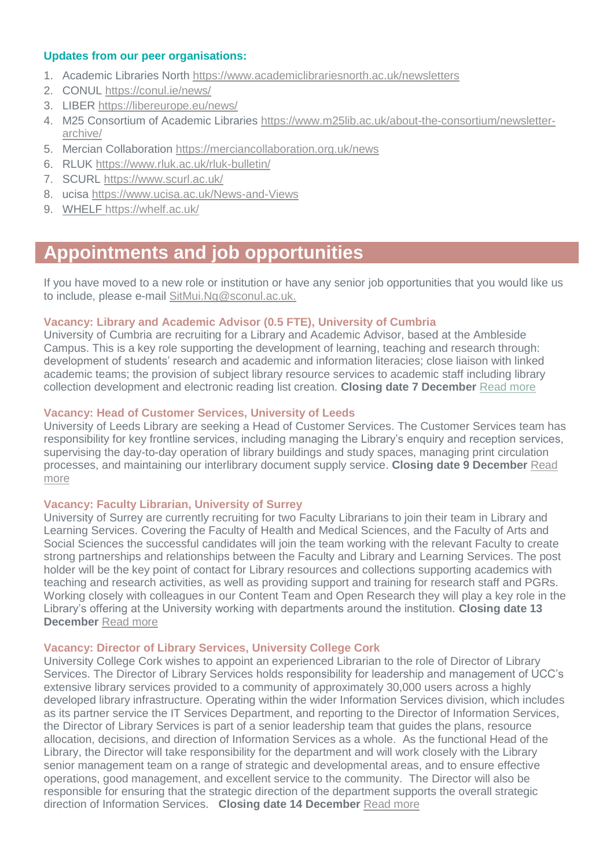#### **Updates from our peer organisations:**

- 1. Academic Libraries North<https://www.academiclibrariesnorth.ac.uk/newsletters>
- 2. CONUL<https://conul.ie/news/>
- 3. LIBER<https://libereurope.eu/news/>
- 4. M25 Consortium of Academic Libraries [https://www.m25lib.ac.uk/about-the-consortium/newsletter](https://www.m25lib.ac.uk/about-the-consortium/newsletter-archive/)[archive/](https://www.m25lib.ac.uk/about-the-consortium/newsletter-archive/)
- 5. Mercian Collaboration<https://merciancollaboration.org.uk/news>
- 6. RLUK<https://www.rluk.ac.uk/rluk-bulletin/>
- 7. SCURL<https://www.scurl.ac.uk/>
- 8. ucisa<https://www.ucisa.ac.uk/News-and-Views>
- 9. WHELF <https://whelf.ac.uk/>

# **Appointments and job opportunities**

If you have moved to a new role or institution or have any senior job opportunities that you would like us to include, please e-mail [SitMui.Ng@sconul.ac.uk.](mailto:SitMui.Ng@sconul.ac.uk)

#### **Vacancy: Library and Academic Advisor (0.5 FTE), University of Cumbria**

University of Cumbria are recruiting for a Library and Academic Advisor, based at the Ambleside Campus. This is a key role supporting the development of learning, teaching and research through: development of students' research and academic and information literacies; close liaison with linked academic teams; the provision of subject library resource services to academic staff including library collection development and electronic reading list creation. **Closing date 7 December** [Read more](https://jobs.cumbria.ac.uk/vacancy.aspx?ref=XX053321)

### **Vacancy: Head of Customer Services, University of Leeds**

University of Leeds Library are seeking a Head of Customer Services. The Customer Services team has responsibility for key frontline services, including managing the Library's enquiry and reception services, supervising the day-to-day operation of library buildings and study spaces, managing print circulation processes, and maintaining our interlibrary document supply service. **Closing date 9 December** [Read](https://jobs.leeds.ac.uk/vacancy.aspx?ref=CSLIB1292)  [more](https://jobs.leeds.ac.uk/vacancy.aspx?ref=CSLIB1292)

#### **Vacancy: Faculty Librarian, University of Surrey**

University of Surrey are currently recruiting for two Faculty Librarians to join their team in Library and Learning Services. Covering the Faculty of Health and Medical Sciences, and the Faculty of Arts and Social Sciences the successful candidates will join the team working with the relevant Faculty to create strong partnerships and relationships between the Faculty and Library and Learning Services. The post holder will be the key point of contact for Library resources and collections supporting academics with teaching and research activities, as well as providing support and training for research staff and PGRs. Working closely with colleagues in our Content Team and Open Research they will play a key role in the Library's offering at the University working with departments around the institution. **Closing date 13 December** [Read more](https://jobs.surrey.ac.uk/vacancy.aspx?ref=076121)

#### **Vacancy: Director of Library Services, University College Cork**

University College Cork wishes to appoint an experienced Librarian to the role of Director of Library Services. The Director of Library Services holds responsibility for leadership and management of UCC's extensive library services provided to a community of approximately 30,000 users across a highly developed library infrastructure. Operating within the wider Information Services division, which includes as its partner service the IT Services Department, and reporting to the Director of Information Services, the Director of Library Services is part of a senior leadership team that guides the plans, resource allocation, decisions, and direction of Information Services as a whole. As the functional Head of the Library, the Director will take responsibility for the department and will work closely with the Library senior management team on a range of strategic and developmental areas, and to ensure effective operations, good management, and excellent service to the community. The Director will also be responsible for ensuring that the strategic direction of the department supports the overall strategic direction of Information Services. **Closing date 14 December** [Read more](https://my.corehr.com/pls/uccrecruit/erq_search_package.search_form?p_company=5023&p_internal_external=E)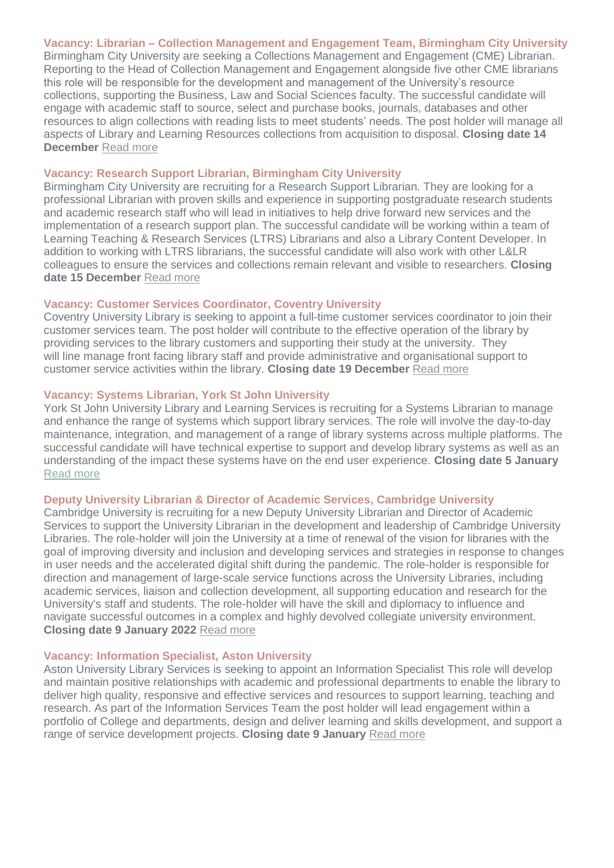# **Vacancy: Librarian – Collection Management and Engagement Team, Birmingham City University**

Birmingham City University are seeking a Collections Management and Engagement (CME) Librarian. Reporting to the Head of Collection Management and Engagement alongside five other CME librarians this role will be responsible for the development and management of the University's resource collections, supporting the Business, Law and Social Sciences faculty. The successful candidate will engage with academic staff to source, select and purchase books, journals, databases and other resources to align collections with reading lists to meet students' needs. The post holder will manage all aspects of Library and Learning Resources collections from acquisition to disposal. **Closing date 14 December** [Read more](https://jobs.bcu.ac.uk/vacancy.aspx?ref=092021-394-R)

#### **Vacancy: Research Support Librarian, Birmingham City University**

Birmingham City University are recruiting for a Research Support Librarian. They are looking for a professional Librarian with proven skills and experience in supporting postgraduate research students and academic research staff who will lead in initiatives to help drive forward new services and the implementation of a research support plan. The successful candidate will be working within a team of Learning Teaching & Research Services (LTRS) Librarians and also a Library Content Developer. In addition to working with LTRS librarians, the successful candidate will also work with other L&LR colleagues to ensure the services and collections remain relevant and visible to researchers. **Closing date 15 December** [Read more](https://jobs.bcu.ac.uk/vacancy.aspx?ref=032021-138-R)

#### **Vacancy: Customer Services Coordinator, Coventry University**

Coventry University Library is seeking to appoint a full-time customer services coordinator to join their customer services team. The post holder will contribute to the effective operation of the library by providing services to the library customers and supporting their study at the university. They will line manage front facing library staff and provide administrative and organisational support to customer service activities within the library. **Closing date 19 December** [Read more](https://staffrecruitment.coventry.ac.uk/tlive_webrecruitment/wrd/run/ETREC105GF.open?WVID=1861420Izv)

#### **Vacancy: Systems Librarian, York St John University**

York St John University Library and Learning Services is recruiting for a Systems Librarian to manage and enhance the range of systems which support library services. The role will involve the day-to-day maintenance, integration, and management of a range of library systems across multiple platforms. The successful candidate will have technical expertise to support and develop library systems as well as an understanding of the impact these systems have on the end user experience. **Closing date 5 January** [Read more](https://jobs.yorksj.ac.uk/vacancy.aspx?ref=220-21)

#### **Deputy University Librarian & Director of Academic Services, Cambridge University**

Cambridge University is recruiting for a new Deputy University Librarian and Director of Academic Services to support the University Librarian in the development and leadership of Cambridge University Libraries. The role-holder will join the University at a time of renewal of the vision for libraries with the goal of improving diversity and inclusion and developing services and strategies in response to changes in user needs and the accelerated digital shift during the pandemic. The role-holder is responsible for direction and management of large-scale service functions across the University Libraries, including academic services, liaison and collection development, all supporting education and research for the University's staff and students. The role-holder will have the skill and diplomacy to influence and navigate successful outcomes in a complex and highly devolved collegiate university environment. **Closing date 9 January 2022** [Read more](https://www.jobs.cam.ac.uk/job/32479/)

#### **Vacancy: Information Specialist, Aston University**

Aston University Library Services is seeking to appoint an Information Specialist This role will develop and maintain positive relationships with academic and professional departments to enable the library to deliver high quality, responsive and effective services and resources to support learning, teaching and research. As part of the Information Services Team the post holder will lead engagement within a portfolio of College and departments, design and deliver learning and skills development, and support a range of service development projects. **Closing date 9 January** [Read more](https://jobs.aston.ac.uk/Vacancy.aspx?ref=R210542)